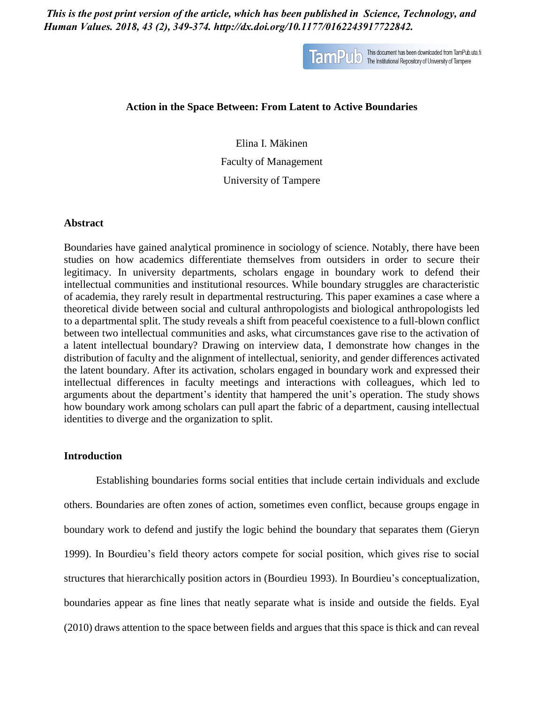*This is the post print version of the article, which has been published in Science, Technology, and Human Values. 2018, 43 (2), 349-374. http://dx.doi.org/10.1177/0162243917722842.*



TamPUD This document has been downloaded from TamPub.uta.fi

### **Action in the Space Between: From Latent to Active Boundaries**

Elina I. Mäkinen Faculty of Management University of Tampere

#### **Abstract**

Boundaries have gained analytical prominence in sociology of science. Notably, there have been studies on how academics differentiate themselves from outsiders in order to secure their legitimacy. In university departments, scholars engage in boundary work to defend their intellectual communities and institutional resources. While boundary struggles are characteristic of academia, they rarely result in departmental restructuring. This paper examines a case where a theoretical divide between social and cultural anthropologists and biological anthropologists led to a departmental split. The study reveals a shift from peaceful coexistence to a full-blown conflict between two intellectual communities and asks, what circumstances gave rise to the activation of a latent intellectual boundary? Drawing on interview data, I demonstrate how changes in the distribution of faculty and the alignment of intellectual, seniority, and gender differences activated the latent boundary. After its activation, scholars engaged in boundary work and expressed their intellectual differences in faculty meetings and interactions with colleagues, which led to arguments about the department's identity that hampered the unit's operation. The study shows how boundary work among scholars can pull apart the fabric of a department, causing intellectual identities to diverge and the organization to split.

# **Introduction**

Establishing boundaries forms social entities that include certain individuals and exclude others. Boundaries are often zones of action, sometimes even conflict, because groups engage in boundary work to defend and justify the logic behind the boundary that separates them (Gieryn 1999). In Bourdieu's field theory actors compete for social position, which gives rise to social structures that hierarchically position actors in (Bourdieu 1993). In Bourdieu's conceptualization, boundaries appear as fine lines that neatly separate what is inside and outside the fields. Eyal (2010) draws attention to the space between fields and argues that this space is thick and can reveal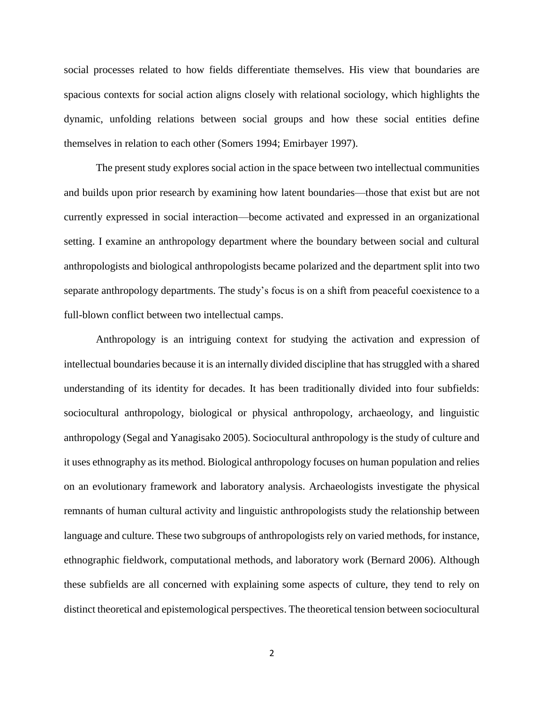social processes related to how fields differentiate themselves. His view that boundaries are spacious contexts for social action aligns closely with relational sociology, which highlights the dynamic, unfolding relations between social groups and how these social entities define themselves in relation to each other (Somers 1994; Emirbayer 1997).

The present study explores social action in the space between two intellectual communities and builds upon prior research by examining how latent boundaries—those that exist but are not currently expressed in social interaction—become activated and expressed in an organizational setting. I examine an anthropology department where the boundary between social and cultural anthropologists and biological anthropologists became polarized and the department split into two separate anthropology departments. The study's focus is on a shift from peaceful coexistence to a full-blown conflict between two intellectual camps.

Anthropology is an intriguing context for studying the activation and expression of intellectual boundaries because it is an internally divided discipline that has struggled with a shared understanding of its identity for decades. It has been traditionally divided into four subfields: sociocultural anthropology, biological or physical anthropology, archaeology, and linguistic anthropology (Segal and Yanagisako 2005). Sociocultural anthropology is the study of culture and it uses ethnography as its method. Biological anthropology focuses on human population and relies on an evolutionary framework and laboratory analysis. Archaeologists investigate the physical remnants of human cultural activity and linguistic anthropologists study the relationship between language and culture. These two subgroups of anthropologists rely on varied methods, for instance, ethnographic fieldwork, computational methods, and laboratory work (Bernard 2006). Although these subfields are all concerned with explaining some aspects of culture, they tend to rely on distinct theoretical and epistemological perspectives. The theoretical tension between sociocultural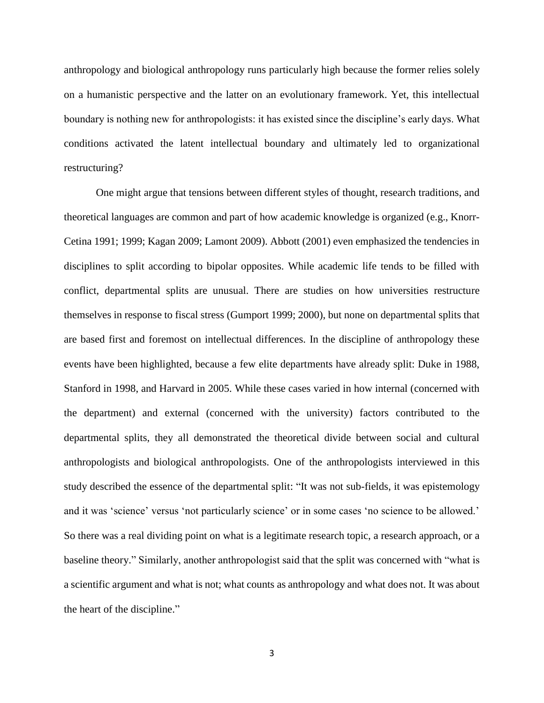anthropology and biological anthropology runs particularly high because the former relies solely on a humanistic perspective and the latter on an evolutionary framework. Yet, this intellectual boundary is nothing new for anthropologists: it has existed since the discipline's early days. What conditions activated the latent intellectual boundary and ultimately led to organizational restructuring?

One might argue that tensions between different styles of thought, research traditions, and theoretical languages are common and part of how academic knowledge is organized (e.g., Knorr-Cetina 1991; 1999; Kagan 2009; Lamont 2009). Abbott (2001) even emphasized the tendencies in disciplines to split according to bipolar opposites. While academic life tends to be filled with conflict, departmental splits are unusual. There are studies on how universities restructure themselves in response to fiscal stress (Gumport 1999; 2000), but none on departmental splits that are based first and foremost on intellectual differences. In the discipline of anthropology these events have been highlighted, because a few elite departments have already split: Duke in 1988, Stanford in 1998, and Harvard in 2005. While these cases varied in how internal (concerned with the department) and external (concerned with the university) factors contributed to the departmental splits, they all demonstrated the theoretical divide between social and cultural anthropologists and biological anthropologists. One of the anthropologists interviewed in this study described the essence of the departmental split: "It was not sub-fields, it was epistemology and it was 'science' versus 'not particularly science' or in some cases 'no science to be allowed.' So there was a real dividing point on what is a legitimate research topic, a research approach, or a baseline theory." Similarly, another anthropologist said that the split was concerned with "what is a scientific argument and what is not; what counts as anthropology and what does not. It was about the heart of the discipline."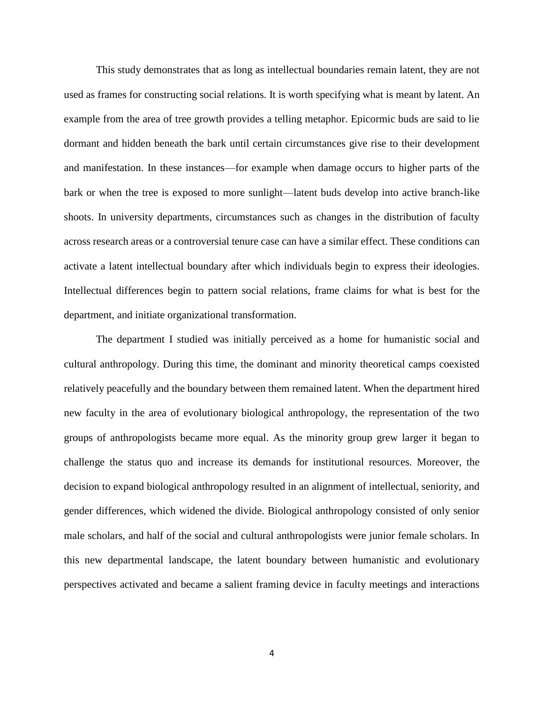This study demonstrates that as long as intellectual boundaries remain latent, they are not used as frames for constructing social relations. It is worth specifying what is meant by latent. An example from the area of tree growth provides a telling metaphor. Epicormic buds are said to lie dormant and hidden beneath the bark until certain circumstances give rise to their development and manifestation. In these instances—for example when damage occurs to higher parts of the bark or when the tree is exposed to more sunlight—latent buds develop into active branch-like shoots. In university departments, circumstances such as changes in the distribution of faculty across research areas or a controversial tenure case can have a similar effect. These conditions can activate a latent intellectual boundary after which individuals begin to express their ideologies. Intellectual differences begin to pattern social relations, frame claims for what is best for the department, and initiate organizational transformation.

The department I studied was initially perceived as a home for humanistic social and cultural anthropology. During this time, the dominant and minority theoretical camps coexisted relatively peacefully and the boundary between them remained latent. When the department hired new faculty in the area of evolutionary biological anthropology, the representation of the two groups of anthropologists became more equal. As the minority group grew larger it began to challenge the status quo and increase its demands for institutional resources. Moreover, the decision to expand biological anthropology resulted in an alignment of intellectual, seniority, and gender differences, which widened the divide. Biological anthropology consisted of only senior male scholars, and half of the social and cultural anthropologists were junior female scholars. In this new departmental landscape, the latent boundary between humanistic and evolutionary perspectives activated and became a salient framing device in faculty meetings and interactions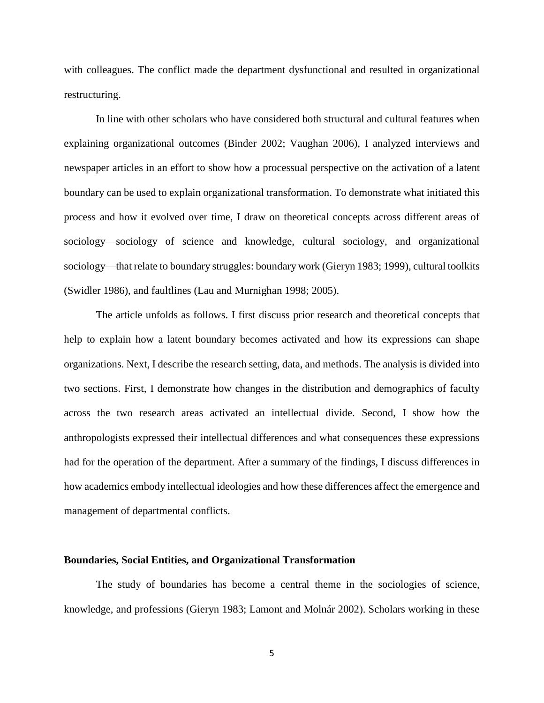with colleagues. The conflict made the department dysfunctional and resulted in organizational restructuring.

In line with other scholars who have considered both structural and cultural features when explaining organizational outcomes (Binder 2002; Vaughan 2006), I analyzed interviews and newspaper articles in an effort to show how a processual perspective on the activation of a latent boundary can be used to explain organizational transformation. To demonstrate what initiated this process and how it evolved over time, I draw on theoretical concepts across different areas of sociology—sociology of science and knowledge, cultural sociology, and organizational sociology—that relate to boundary struggles: boundary work (Gieryn 1983; 1999), cultural toolkits (Swidler 1986), and faultlines (Lau and Murnighan 1998; 2005).

The article unfolds as follows. I first discuss prior research and theoretical concepts that help to explain how a latent boundary becomes activated and how its expressions can shape organizations. Next, I describe the research setting, data, and methods. The analysis is divided into two sections. First, I demonstrate how changes in the distribution and demographics of faculty across the two research areas activated an intellectual divide. Second, I show how the anthropologists expressed their intellectual differences and what consequences these expressions had for the operation of the department. After a summary of the findings, I discuss differences in how academics embody intellectual ideologies and how these differences affect the emergence and management of departmental conflicts.

#### **Boundaries, Social Entities, and Organizational Transformation**

The study of boundaries has become a central theme in the sociologies of science, knowledge, and professions (Gieryn 1983; Lamont and Molnár 2002). Scholars working in these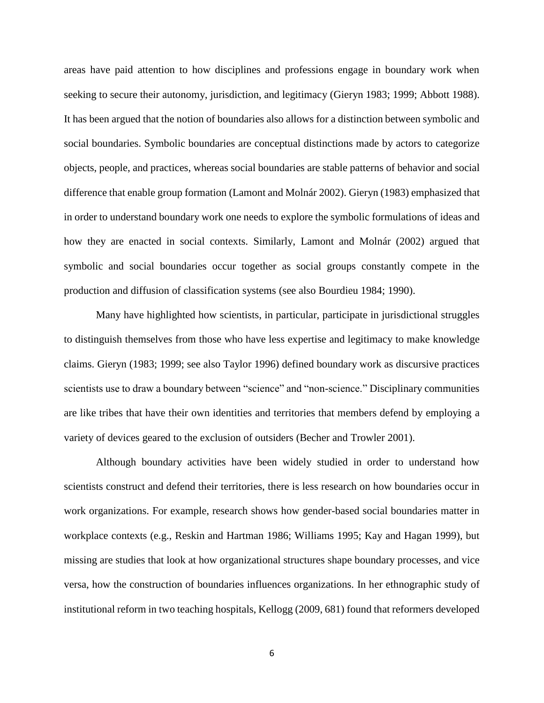areas have paid attention to how disciplines and professions engage in boundary work when seeking to secure their autonomy, jurisdiction, and legitimacy (Gieryn 1983; 1999; Abbott 1988). It has been argued that the notion of boundaries also allows for a distinction between symbolic and social boundaries. Symbolic boundaries are conceptual distinctions made by actors to categorize objects, people, and practices, whereas social boundaries are stable patterns of behavior and social difference that enable group formation (Lamont and Molnár 2002). Gieryn (1983) emphasized that in order to understand boundary work one needs to explore the symbolic formulations of ideas and how they are enacted in social contexts. Similarly, Lamont and Molnár (2002) argued that symbolic and social boundaries occur together as social groups constantly compete in the production and diffusion of classification systems (see also Bourdieu 1984; 1990).

Many have highlighted how scientists, in particular, participate in jurisdictional struggles to distinguish themselves from those who have less expertise and legitimacy to make knowledge claims. Gieryn (1983; 1999; see also Taylor 1996) defined boundary work as discursive practices scientists use to draw a boundary between "science" and "non-science." Disciplinary communities are like tribes that have their own identities and territories that members defend by employing a variety of devices geared to the exclusion of outsiders (Becher and Trowler 2001).

Although boundary activities have been widely studied in order to understand how scientists construct and defend their territories, there is less research on how boundaries occur in work organizations. For example, research shows how gender-based social boundaries matter in workplace contexts (e.g., Reskin and Hartman 1986; Williams 1995; Kay and Hagan 1999), but missing are studies that look at how organizational structures shape boundary processes, and vice versa, how the construction of boundaries influences organizations. In her ethnographic study of institutional reform in two teaching hospitals, Kellogg (2009, 681) found that reformers developed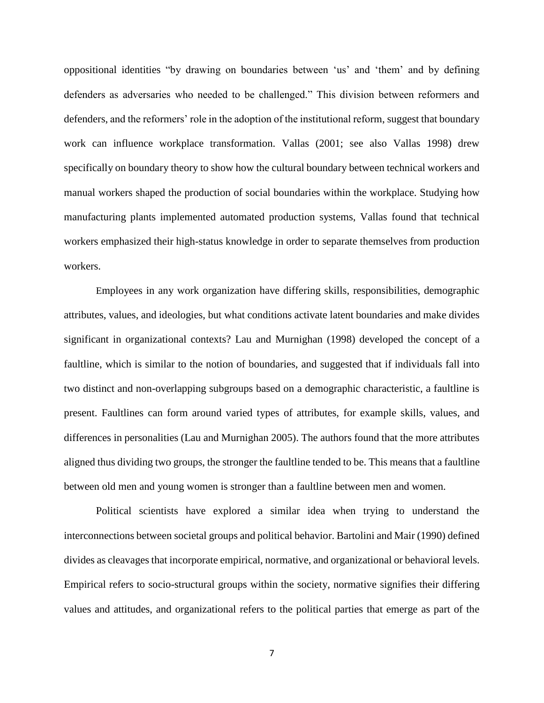oppositional identities "by drawing on boundaries between 'us' and 'them' and by defining defenders as adversaries who needed to be challenged." This division between reformers and defenders, and the reformers' role in the adoption of the institutional reform, suggest that boundary work can influence workplace transformation. Vallas (2001; see also Vallas 1998) drew specifically on boundary theory to show how the cultural boundary between technical workers and manual workers shaped the production of social boundaries within the workplace. Studying how manufacturing plants implemented automated production systems, Vallas found that technical workers emphasized their high-status knowledge in order to separate themselves from production workers.

Employees in any work organization have differing skills, responsibilities, demographic attributes, values, and ideologies, but what conditions activate latent boundaries and make divides significant in organizational contexts? Lau and Murnighan (1998) developed the concept of a faultline, which is similar to the notion of boundaries, and suggested that if individuals fall into two distinct and non-overlapping subgroups based on a demographic characteristic, a faultline is present. Faultlines can form around varied types of attributes, for example skills, values, and differences in personalities (Lau and Murnighan 2005). The authors found that the more attributes aligned thus dividing two groups, the stronger the faultline tended to be. This means that a faultline between old men and young women is stronger than a faultline between men and women.

Political scientists have explored a similar idea when trying to understand the interconnections between societal groups and political behavior. Bartolini and Mair (1990) defined divides as cleavages that incorporate empirical, normative, and organizational or behavioral levels. Empirical refers to socio-structural groups within the society, normative signifies their differing values and attitudes, and organizational refers to the political parties that emerge as part of the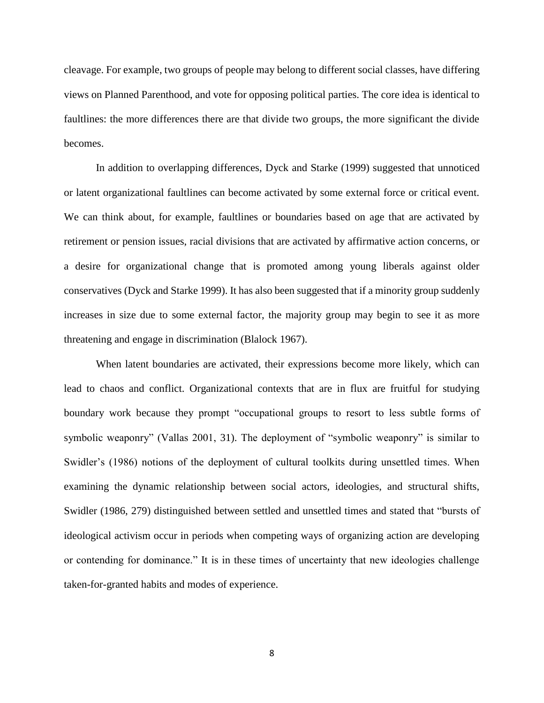cleavage. For example, two groups of people may belong to different social classes, have differing views on Planned Parenthood, and vote for opposing political parties. The core idea is identical to faultlines: the more differences there are that divide two groups, the more significant the divide becomes.

In addition to overlapping differences, Dyck and Starke (1999) suggested that unnoticed or latent organizational faultlines can become activated by some external force or critical event. We can think about, for example, faultlines or boundaries based on age that are activated by retirement or pension issues, racial divisions that are activated by affirmative action concerns, or a desire for organizational change that is promoted among young liberals against older conservatives (Dyck and Starke 1999). It has also been suggested that if a minority group suddenly increases in size due to some external factor, the majority group may begin to see it as more threatening and engage in discrimination (Blalock 1967).

When latent boundaries are activated, their expressions become more likely, which can lead to chaos and conflict. Organizational contexts that are in flux are fruitful for studying boundary work because they prompt "occupational groups to resort to less subtle forms of symbolic weaponry" (Vallas 2001, 31). The deployment of "symbolic weaponry" is similar to Swidler's (1986) notions of the deployment of cultural toolkits during unsettled times. When examining the dynamic relationship between social actors, ideologies, and structural shifts, Swidler (1986, 279) distinguished between settled and unsettled times and stated that "bursts of ideological activism occur in periods when competing ways of organizing action are developing or contending for dominance." It is in these times of uncertainty that new ideologies challenge taken-for-granted habits and modes of experience.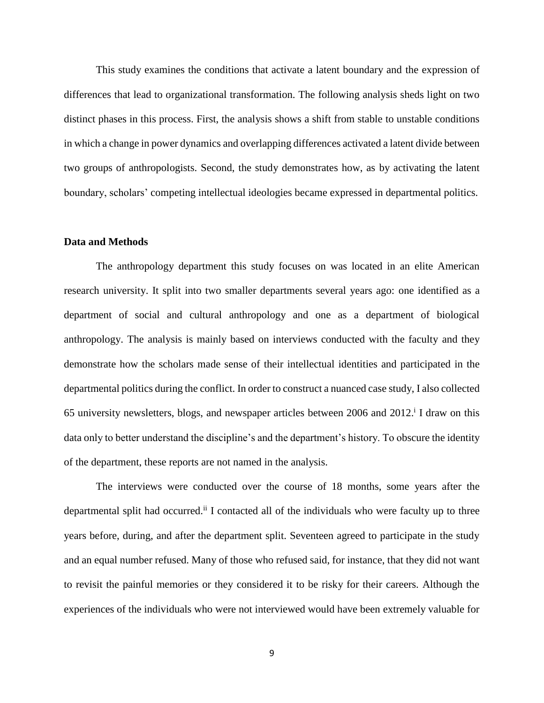This study examines the conditions that activate a latent boundary and the expression of differences that lead to organizational transformation. The following analysis sheds light on two distinct phases in this process. First, the analysis shows a shift from stable to unstable conditions in which a change in power dynamics and overlapping differences activated a latent divide between two groups of anthropologists. Second, the study demonstrates how, as by activating the latent boundary, scholars' competing intellectual ideologies became expressed in departmental politics.

# **Data and Methods**

The anthropology department this study focuses on was located in an elite American research university. It split into two smaller departments several years ago: one identified as a department of social and cultural anthropology and one as a department of biological anthropology. The analysis is mainly based on interviews conducted with the faculty and they demonstrate how the scholars made sense of their intellectual identities and participated in the departmental politics during the conflict. In order to construct a nuanced case study, I also collected 65 university newsletters, blogs, and newspaper articles between 2006 and 2012. i I draw on this data only to better understand the discipline's and the department's history. To obscure the identity of the department, these reports are not named in the analysis.

The interviews were conducted over the course of 18 months, some years after the departmental split had occurred.<sup>ii</sup> I contacted all of the individuals who were faculty up to three years before, during, and after the department split. Seventeen agreed to participate in the study and an equal number refused. Many of those who refused said, for instance, that they did not want to revisit the painful memories or they considered it to be risky for their careers. Although the experiences of the individuals who were not interviewed would have been extremely valuable for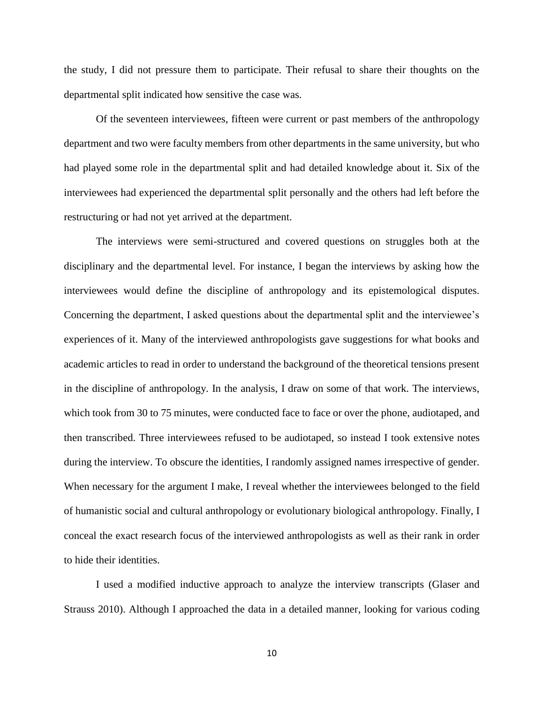the study, I did not pressure them to participate. Their refusal to share their thoughts on the departmental split indicated how sensitive the case was.

Of the seventeen interviewees, fifteen were current or past members of the anthropology department and two were faculty members from other departments in the same university, but who had played some role in the departmental split and had detailed knowledge about it. Six of the interviewees had experienced the departmental split personally and the others had left before the restructuring or had not yet arrived at the department.

The interviews were semi-structured and covered questions on struggles both at the disciplinary and the departmental level. For instance, I began the interviews by asking how the interviewees would define the discipline of anthropology and its epistemological disputes. Concerning the department, I asked questions about the departmental split and the interviewee's experiences of it. Many of the interviewed anthropologists gave suggestions for what books and academic articles to read in order to understand the background of the theoretical tensions present in the discipline of anthropology. In the analysis, I draw on some of that work. The interviews, which took from 30 to 75 minutes, were conducted face to face or over the phone, audiotaped, and then transcribed. Three interviewees refused to be audiotaped, so instead I took extensive notes during the interview. To obscure the identities, I randomly assigned names irrespective of gender. When necessary for the argument I make, I reveal whether the interviewees belonged to the field of humanistic social and cultural anthropology or evolutionary biological anthropology. Finally, I conceal the exact research focus of the interviewed anthropologists as well as their rank in order to hide their identities.

I used a modified inductive approach to analyze the interview transcripts (Glaser and Strauss 2010). Although I approached the data in a detailed manner, looking for various coding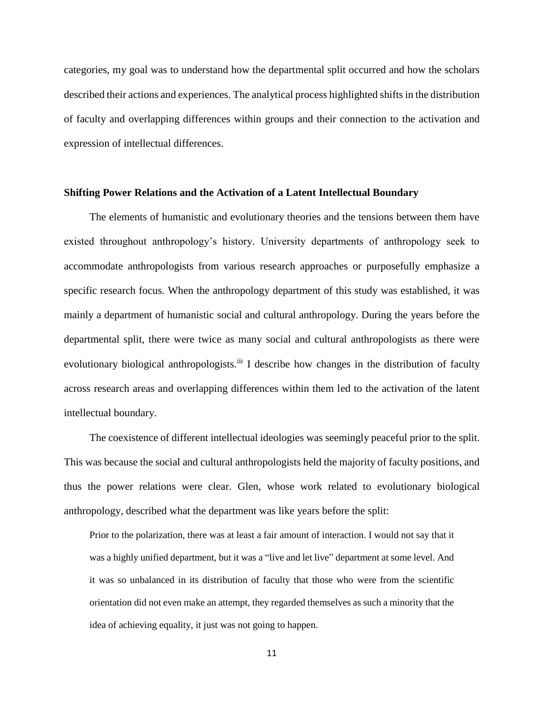categories, my goal was to understand how the departmental split occurred and how the scholars described their actions and experiences. The analytical process highlighted shifts in the distribution of faculty and overlapping differences within groups and their connection to the activation and expression of intellectual differences.

## **Shifting Power Relations and the Activation of a Latent Intellectual Boundary**

The elements of humanistic and evolutionary theories and the tensions between them have existed throughout anthropology's history. University departments of anthropology seek to accommodate anthropologists from various research approaches or purposefully emphasize a specific research focus. When the anthropology department of this study was established, it was mainly a department of humanistic social and cultural anthropology. During the years before the departmental split, there were twice as many social and cultural anthropologists as there were evolutionary biological anthropologists.<sup>iii</sup> I describe how changes in the distribution of faculty across research areas and overlapping differences within them led to the activation of the latent intellectual boundary.

The coexistence of different intellectual ideologies was seemingly peaceful prior to the split. This was because the social and cultural anthropologists held the majority of faculty positions, and thus the power relations were clear. Glen, whose work related to evolutionary biological anthropology, described what the department was like years before the split:

Prior to the polarization, there was at least a fair amount of interaction. I would not say that it was a highly unified department, but it was a "live and let live" department at some level. And it was so unbalanced in its distribution of faculty that those who were from the scientific orientation did not even make an attempt, they regarded themselves as such a minority that the idea of achieving equality, it just was not going to happen.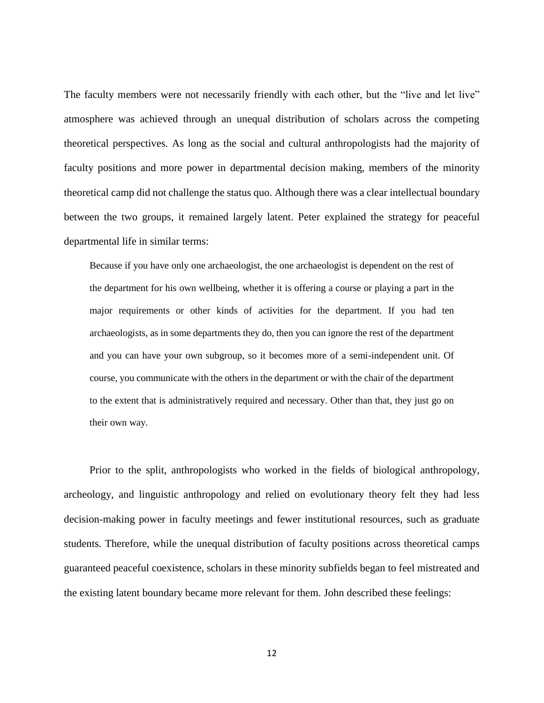The faculty members were not necessarily friendly with each other, but the "live and let live" atmosphere was achieved through an unequal distribution of scholars across the competing theoretical perspectives. As long as the social and cultural anthropologists had the majority of faculty positions and more power in departmental decision making, members of the minority theoretical camp did not challenge the status quo. Although there was a clear intellectual boundary between the two groups, it remained largely latent. Peter explained the strategy for peaceful departmental life in similar terms:

Because if you have only one archaeologist, the one archaeologist is dependent on the rest of the department for his own wellbeing, whether it is offering a course or playing a part in the major requirements or other kinds of activities for the department. If you had ten archaeologists, as in some departments they do, then you can ignore the rest of the department and you can have your own subgroup, so it becomes more of a semi-independent unit. Of course, you communicate with the others in the department or with the chair of the department to the extent that is administratively required and necessary. Other than that, they just go on their own way.

Prior to the split, anthropologists who worked in the fields of biological anthropology, archeology, and linguistic anthropology and relied on evolutionary theory felt they had less decision-making power in faculty meetings and fewer institutional resources, such as graduate students. Therefore, while the unequal distribution of faculty positions across theoretical camps guaranteed peaceful coexistence, scholars in these minority subfields began to feel mistreated and the existing latent boundary became more relevant for them. John described these feelings: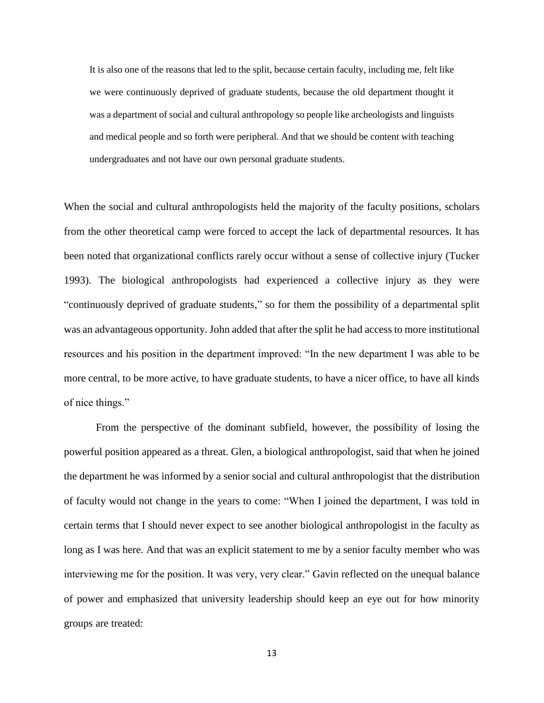It is also one of the reasons that led to the split, because certain faculty, including me, felt like we were continuously deprived of graduate students, because the old department thought it was a department of social and cultural anthropology so people like archeologists and linguists and medical people and so forth were peripheral. And that we should be content with teaching undergraduates and not have our own personal graduate students.

When the social and cultural anthropologists held the majority of the faculty positions, scholars from the other theoretical camp were forced to accept the lack of departmental resources. It has been noted that organizational conflicts rarely occur without a sense of collective injury (Tucker 1993). The biological anthropologists had experienced a collective injury as they were "continuously deprived of graduate students," so for them the possibility of a departmental split was an advantageous opportunity. John added that after the split he had access to more institutional resources and his position in the department improved: "In the new department I was able to be more central, to be more active, to have graduate students, to have a nicer office, to have all kinds of nice things."

From the perspective of the dominant subfield, however, the possibility of losing the powerful position appeared as a threat. Glen, a biological anthropologist, said that when he joined the department he was informed by a senior social and cultural anthropologist that the distribution of faculty would not change in the years to come: "When I joined the department, I was told in certain terms that I should never expect to see another biological anthropologist in the faculty as long as I was here. And that was an explicit statement to me by a senior faculty member who was interviewing me for the position. It was very, very clear." Gavin reflected on the unequal balance of power and emphasized that university leadership should keep an eye out for how minority groups are treated: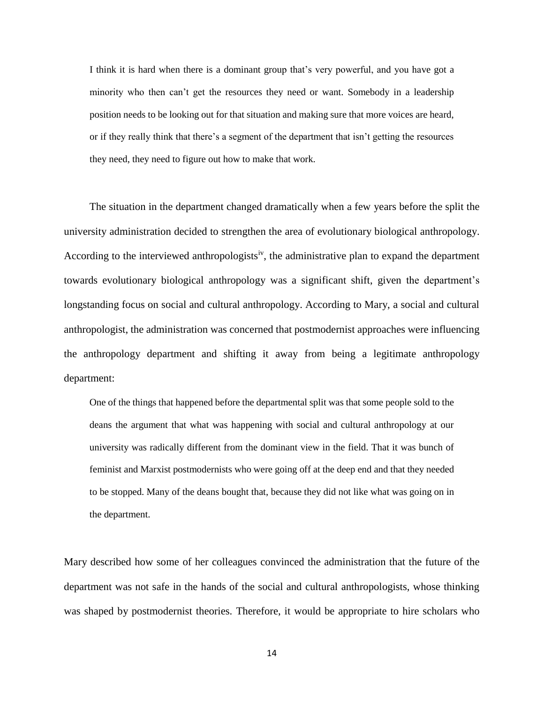I think it is hard when there is a dominant group that's very powerful, and you have got a minority who then can't get the resources they need or want. Somebody in a leadership position needs to be looking out for that situation and making sure that more voices are heard, or if they really think that there's a segment of the department that isn't getting the resources they need, they need to figure out how to make that work.

The situation in the department changed dramatically when a few years before the split the university administration decided to strengthen the area of evolutionary biological anthropology. According to the interviewed anthropologists<sup>iv</sup>, the administrative plan to expand the department towards evolutionary biological anthropology was a significant shift, given the department's longstanding focus on social and cultural anthropology. According to Mary, a social and cultural anthropologist, the administration was concerned that postmodernist approaches were influencing the anthropology department and shifting it away from being a legitimate anthropology department:

One of the things that happened before the departmental split was that some people sold to the deans the argument that what was happening with social and cultural anthropology at our university was radically different from the dominant view in the field. That it was bunch of feminist and Marxist postmodernists who were going off at the deep end and that they needed to be stopped. Many of the deans bought that, because they did not like what was going on in the department.

Mary described how some of her colleagues convinced the administration that the future of the department was not safe in the hands of the social and cultural anthropologists, whose thinking was shaped by postmodernist theories. Therefore, it would be appropriate to hire scholars who

14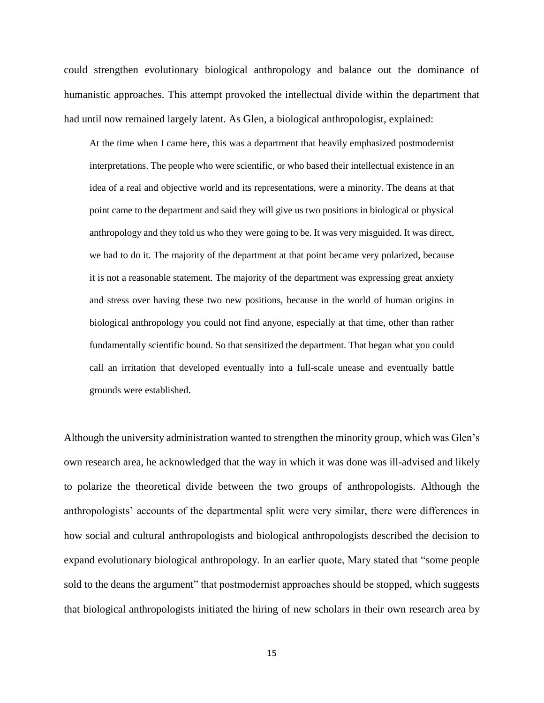could strengthen evolutionary biological anthropology and balance out the dominance of humanistic approaches. This attempt provoked the intellectual divide within the department that had until now remained largely latent. As Glen, a biological anthropologist, explained:

At the time when I came here, this was a department that heavily emphasized postmodernist interpretations. The people who were scientific, or who based their intellectual existence in an idea of a real and objective world and its representations, were a minority. The deans at that point came to the department and said they will give us two positions in biological or physical anthropology and they told us who they were going to be. It was very misguided. It was direct, we had to do it. The majority of the department at that point became very polarized, because it is not a reasonable statement. The majority of the department was expressing great anxiety and stress over having these two new positions, because in the world of human origins in biological anthropology you could not find anyone, especially at that time, other than rather fundamentally scientific bound. So that sensitized the department. That began what you could call an irritation that developed eventually into a full-scale unease and eventually battle grounds were established.

Although the university administration wanted to strengthen the minority group, which was Glen's own research area, he acknowledged that the way in which it was done was ill-advised and likely to polarize the theoretical divide between the two groups of anthropologists. Although the anthropologists' accounts of the departmental split were very similar, there were differences in how social and cultural anthropologists and biological anthropologists described the decision to expand evolutionary biological anthropology. In an earlier quote, Mary stated that "some people sold to the deans the argument" that postmodernist approaches should be stopped, which suggests that biological anthropologists initiated the hiring of new scholars in their own research area by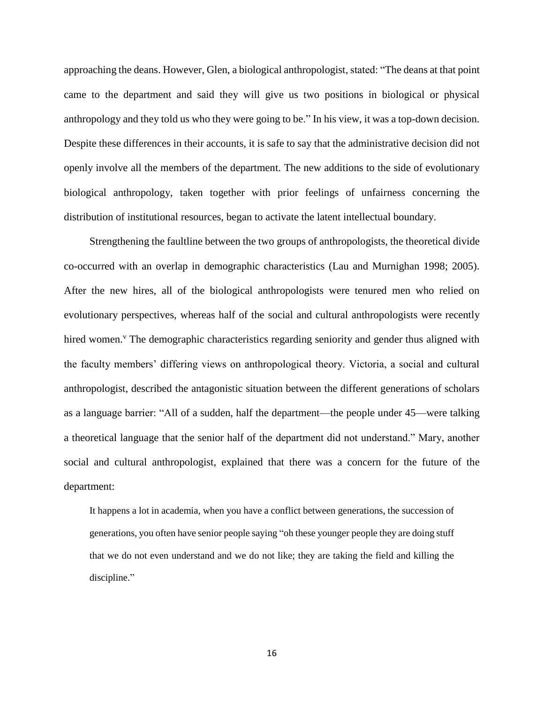approaching the deans. However, Glen, a biological anthropologist, stated: "The deans at that point came to the department and said they will give us two positions in biological or physical anthropology and they told us who they were going to be." In his view, it was a top-down decision. Despite these differences in their accounts, it is safe to say that the administrative decision did not openly involve all the members of the department. The new additions to the side of evolutionary biological anthropology, taken together with prior feelings of unfairness concerning the distribution of institutional resources, began to activate the latent intellectual boundary.

Strengthening the faultline between the two groups of anthropologists, the theoretical divide co-occurred with an overlap in demographic characteristics (Lau and Murnighan 1998; 2005). After the new hires, all of the biological anthropologists were tenured men who relied on evolutionary perspectives, whereas half of the social and cultural anthropologists were recently hired women.<sup> $\theta$ </sup> The demographic characteristics regarding seniority and gender thus aligned with the faculty members' differing views on anthropological theory. Victoria, a social and cultural anthropologist, described the antagonistic situation between the different generations of scholars as a language barrier: "All of a sudden, half the department—the people under 45—were talking a theoretical language that the senior half of the department did not understand." Mary, another social and cultural anthropologist, explained that there was a concern for the future of the department:

It happens a lot in academia, when you have a conflict between generations, the succession of generations, you often have senior people saying "oh these younger people they are doing stuff that we do not even understand and we do not like; they are taking the field and killing the discipline."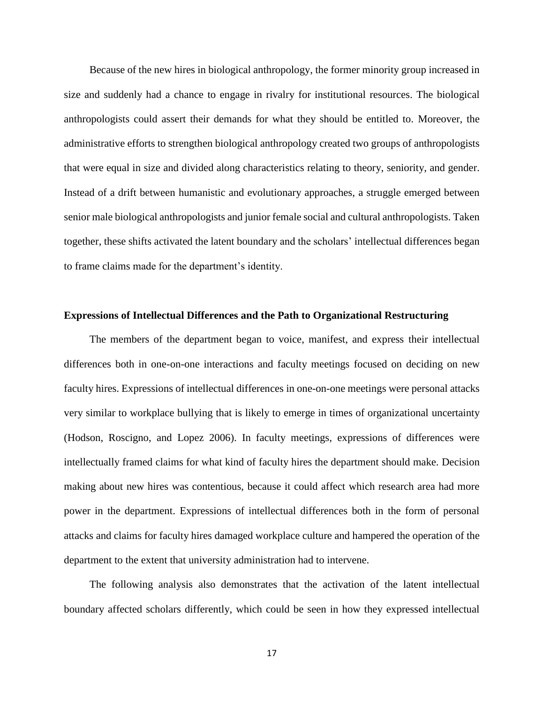Because of the new hires in biological anthropology, the former minority group increased in size and suddenly had a chance to engage in rivalry for institutional resources. The biological anthropologists could assert their demands for what they should be entitled to. Moreover, the administrative efforts to strengthen biological anthropology created two groups of anthropologists that were equal in size and divided along characteristics relating to theory, seniority, and gender. Instead of a drift between humanistic and evolutionary approaches, a struggle emerged between senior male biological anthropologists and junior female social and cultural anthropologists. Taken together, these shifts activated the latent boundary and the scholars' intellectual differences began to frame claims made for the department's identity.

#### **Expressions of Intellectual Differences and the Path to Organizational Restructuring**

The members of the department began to voice, manifest, and express their intellectual differences both in one-on-one interactions and faculty meetings focused on deciding on new faculty hires. Expressions of intellectual differences in one-on-one meetings were personal attacks very similar to workplace bullying that is likely to emerge in times of organizational uncertainty (Hodson, Roscigno, and Lopez 2006). In faculty meetings, expressions of differences were intellectually framed claims for what kind of faculty hires the department should make. Decision making about new hires was contentious, because it could affect which research area had more power in the department. Expressions of intellectual differences both in the form of personal attacks and claims for faculty hires damaged workplace culture and hampered the operation of the department to the extent that university administration had to intervene.

The following analysis also demonstrates that the activation of the latent intellectual boundary affected scholars differently, which could be seen in how they expressed intellectual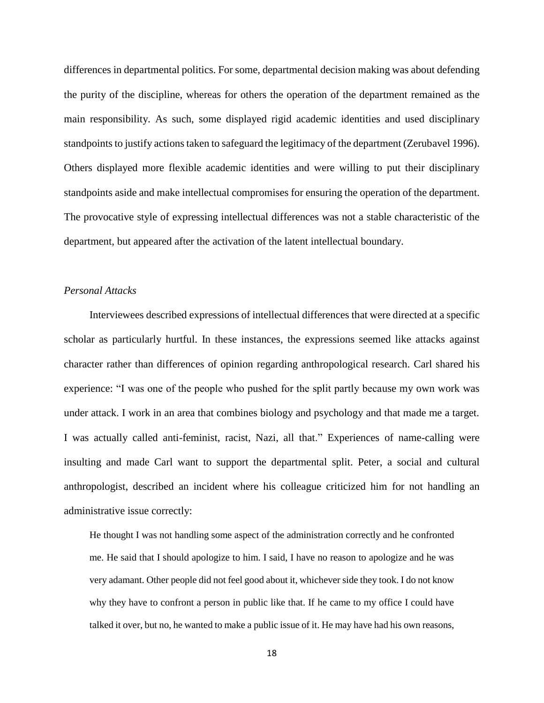differences in departmental politics. For some, departmental decision making was about defending the purity of the discipline, whereas for others the operation of the department remained as the main responsibility. As such, some displayed rigid academic identities and used disciplinary standpoints to justify actions taken to safeguard the legitimacy of the department (Zerubavel 1996). Others displayed more flexible academic identities and were willing to put their disciplinary standpoints aside and make intellectual compromises for ensuring the operation of the department. The provocative style of expressing intellectual differences was not a stable characteristic of the department, but appeared after the activation of the latent intellectual boundary.

# *Personal Attacks*

Interviewees described expressions of intellectual differences that were directed at a specific scholar as particularly hurtful. In these instances, the expressions seemed like attacks against character rather than differences of opinion regarding anthropological research. Carl shared his experience: "I was one of the people who pushed for the split partly because my own work was under attack. I work in an area that combines biology and psychology and that made me a target. I was actually called anti-feminist, racist, Nazi, all that." Experiences of name-calling were insulting and made Carl want to support the departmental split. Peter, a social and cultural anthropologist, described an incident where his colleague criticized him for not handling an administrative issue correctly:

He thought I was not handling some aspect of the administration correctly and he confronted me. He said that I should apologize to him. I said, I have no reason to apologize and he was very adamant. Other people did not feel good about it, whichever side they took. I do not know why they have to confront a person in public like that. If he came to my office I could have talked it over, but no, he wanted to make a public issue of it. He may have had his own reasons,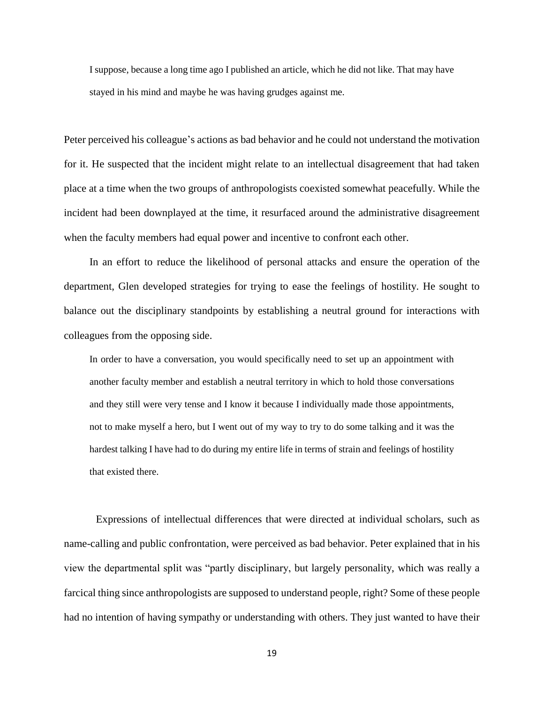I suppose, because a long time ago I published an article, which he did not like. That may have stayed in his mind and maybe he was having grudges against me.

Peter perceived his colleague's actions as bad behavior and he could not understand the motivation for it. He suspected that the incident might relate to an intellectual disagreement that had taken place at a time when the two groups of anthropologists coexisted somewhat peacefully. While the incident had been downplayed at the time, it resurfaced around the administrative disagreement when the faculty members had equal power and incentive to confront each other.

In an effort to reduce the likelihood of personal attacks and ensure the operation of the department, Glen developed strategies for trying to ease the feelings of hostility. He sought to balance out the disciplinary standpoints by establishing a neutral ground for interactions with colleagues from the opposing side.

In order to have a conversation, you would specifically need to set up an appointment with another faculty member and establish a neutral territory in which to hold those conversations and they still were very tense and I know it because I individually made those appointments, not to make myself a hero, but I went out of my way to try to do some talking and it was the hardest talking I have had to do during my entire life in terms of strain and feelings of hostility that existed there.

Expressions of intellectual differences that were directed at individual scholars, such as name-calling and public confrontation, were perceived as bad behavior. Peter explained that in his view the departmental split was "partly disciplinary, but largely personality, which was really a farcical thing since anthropologists are supposed to understand people, right? Some of these people had no intention of having sympathy or understanding with others. They just wanted to have their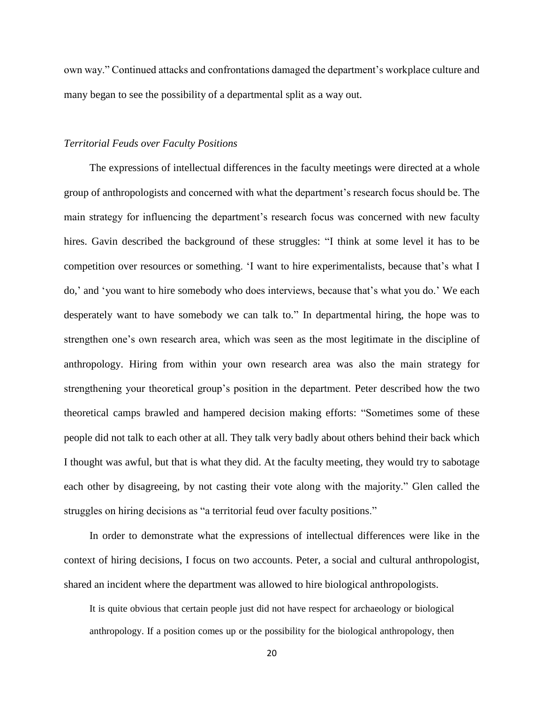own way." Continued attacks and confrontations damaged the department's workplace culture and many began to see the possibility of a departmental split as a way out.

# *Territorial Feuds over Faculty Positions*

The expressions of intellectual differences in the faculty meetings were directed at a whole group of anthropologists and concerned with what the department's research focus should be. The main strategy for influencing the department's research focus was concerned with new faculty hires. Gavin described the background of these struggles: "I think at some level it has to be competition over resources or something. 'I want to hire experimentalists, because that's what I do,' and 'you want to hire somebody who does interviews, because that's what you do.' We each desperately want to have somebody we can talk to." In departmental hiring, the hope was to strengthen one's own research area, which was seen as the most legitimate in the discipline of anthropology. Hiring from within your own research area was also the main strategy for strengthening your theoretical group's position in the department. Peter described how the two theoretical camps brawled and hampered decision making efforts: "Sometimes some of these people did not talk to each other at all. They talk very badly about others behind their back which I thought was awful, but that is what they did. At the faculty meeting, they would try to sabotage each other by disagreeing, by not casting their vote along with the majority." Glen called the struggles on hiring decisions as "a territorial feud over faculty positions."

In order to demonstrate what the expressions of intellectual differences were like in the context of hiring decisions, I focus on two accounts. Peter, a social and cultural anthropologist, shared an incident where the department was allowed to hire biological anthropologists.

It is quite obvious that certain people just did not have respect for archaeology or biological anthropology. If a position comes up or the possibility for the biological anthropology, then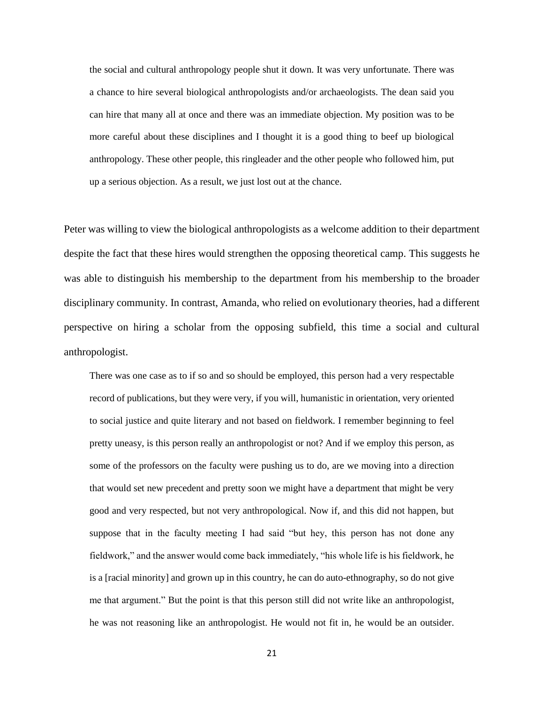the social and cultural anthropology people shut it down. It was very unfortunate. There was a chance to hire several biological anthropologists and/or archaeologists. The dean said you can hire that many all at once and there was an immediate objection. My position was to be more careful about these disciplines and I thought it is a good thing to beef up biological anthropology. These other people, this ringleader and the other people who followed him, put up a serious objection. As a result, we just lost out at the chance.

Peter was willing to view the biological anthropologists as a welcome addition to their department despite the fact that these hires would strengthen the opposing theoretical camp. This suggests he was able to distinguish his membership to the department from his membership to the broader disciplinary community. In contrast, Amanda, who relied on evolutionary theories, had a different perspective on hiring a scholar from the opposing subfield, this time a social and cultural anthropologist.

There was one case as to if so and so should be employed, this person had a very respectable record of publications, but they were very, if you will, humanistic in orientation, very oriented to social justice and quite literary and not based on fieldwork. I remember beginning to feel pretty uneasy, is this person really an anthropologist or not? And if we employ this person, as some of the professors on the faculty were pushing us to do, are we moving into a direction that would set new precedent and pretty soon we might have a department that might be very good and very respected, but not very anthropological. Now if, and this did not happen, but suppose that in the faculty meeting I had said "but hey, this person has not done any fieldwork," and the answer would come back immediately, "his whole life is his fieldwork, he is a [racial minority] and grown up in this country, he can do auto-ethnography, so do not give me that argument." But the point is that this person still did not write like an anthropologist, he was not reasoning like an anthropologist. He would not fit in, he would be an outsider.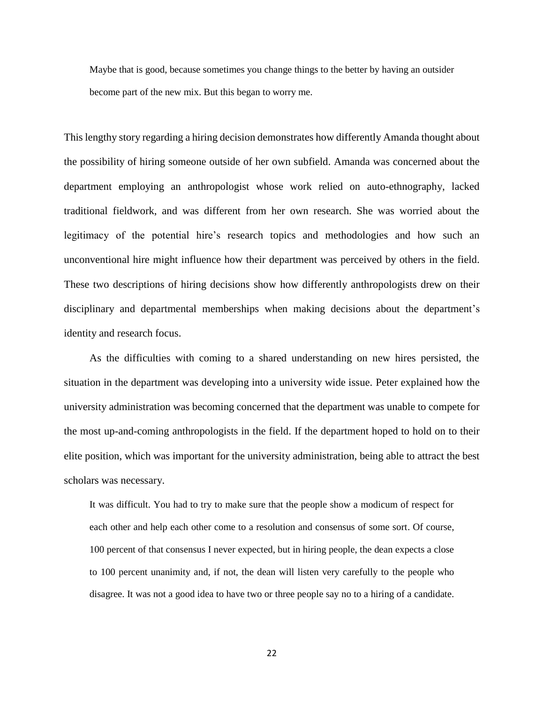Maybe that is good, because sometimes you change things to the better by having an outsider become part of the new mix. But this began to worry me.

This lengthy story regarding a hiring decision demonstrates how differently Amanda thought about the possibility of hiring someone outside of her own subfield. Amanda was concerned about the department employing an anthropologist whose work relied on auto-ethnography, lacked traditional fieldwork, and was different from her own research. She was worried about the legitimacy of the potential hire's research topics and methodologies and how such an unconventional hire might influence how their department was perceived by others in the field. These two descriptions of hiring decisions show how differently anthropologists drew on their disciplinary and departmental memberships when making decisions about the department's identity and research focus.

As the difficulties with coming to a shared understanding on new hires persisted, the situation in the department was developing into a university wide issue. Peter explained how the university administration was becoming concerned that the department was unable to compete for the most up-and-coming anthropologists in the field. If the department hoped to hold on to their elite position, which was important for the university administration, being able to attract the best scholars was necessary.

It was difficult. You had to try to make sure that the people show a modicum of respect for each other and help each other come to a resolution and consensus of some sort. Of course, 100 percent of that consensus I never expected, but in hiring people, the dean expects a close to 100 percent unanimity and, if not, the dean will listen very carefully to the people who disagree. It was not a good idea to have two or three people say no to a hiring of a candidate.

22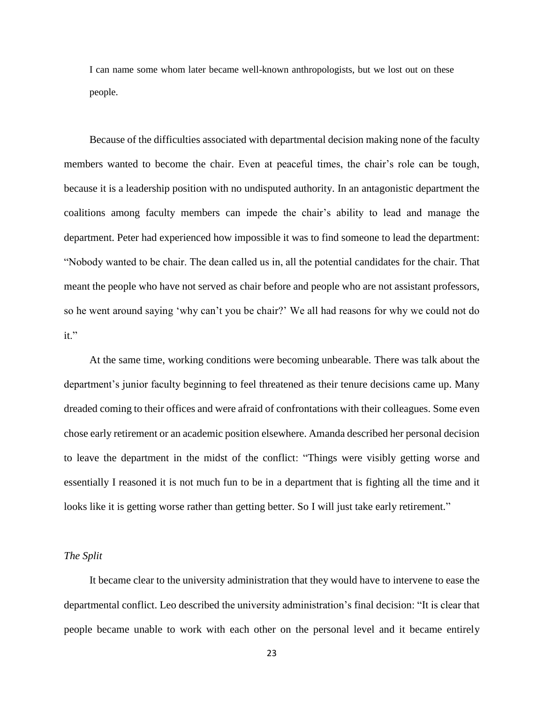I can name some whom later became well-known anthropologists, but we lost out on these people.

Because of the difficulties associated with departmental decision making none of the faculty members wanted to become the chair. Even at peaceful times, the chair's role can be tough, because it is a leadership position with no undisputed authority. In an antagonistic department the coalitions among faculty members can impede the chair's ability to lead and manage the department. Peter had experienced how impossible it was to find someone to lead the department: "Nobody wanted to be chair. The dean called us in, all the potential candidates for the chair. That meant the people who have not served as chair before and people who are not assistant professors, so he went around saying 'why can't you be chair?' We all had reasons for why we could not do it."

At the same time, working conditions were becoming unbearable. There was talk about the department's junior faculty beginning to feel threatened as their tenure decisions came up. Many dreaded coming to their offices and were afraid of confrontations with their colleagues. Some even chose early retirement or an academic position elsewhere. Amanda described her personal decision to leave the department in the midst of the conflict: "Things were visibly getting worse and essentially I reasoned it is not much fun to be in a department that is fighting all the time and it looks like it is getting worse rather than getting better. So I will just take early retirement."

## *The Split*

It became clear to the university administration that they would have to intervene to ease the departmental conflict. Leo described the university administration's final decision: "It is clear that people became unable to work with each other on the personal level and it became entirely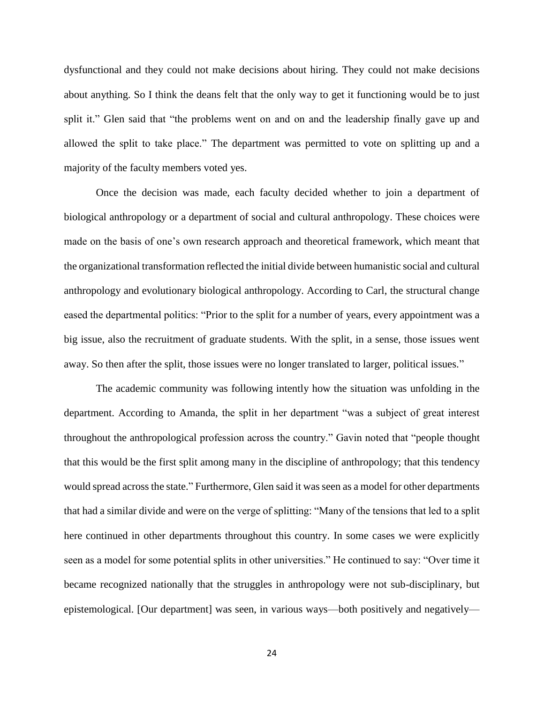dysfunctional and they could not make decisions about hiring. They could not make decisions about anything. So I think the deans felt that the only way to get it functioning would be to just split it." Glen said that "the problems went on and on and the leadership finally gave up and allowed the split to take place." The department was permitted to vote on splitting up and a majority of the faculty members voted yes.

Once the decision was made, each faculty decided whether to join a department of biological anthropology or a department of social and cultural anthropology. These choices were made on the basis of one's own research approach and theoretical framework, which meant that the organizational transformation reflected the initial divide between humanistic social and cultural anthropology and evolutionary biological anthropology. According to Carl, the structural change eased the departmental politics: "Prior to the split for a number of years, every appointment was a big issue, also the recruitment of graduate students. With the split, in a sense, those issues went away. So then after the split, those issues were no longer translated to larger, political issues."

The academic community was following intently how the situation was unfolding in the department. According to Amanda, the split in her department "was a subject of great interest throughout the anthropological profession across the country." Gavin noted that "people thought that this would be the first split among many in the discipline of anthropology; that this tendency would spread across the state." Furthermore, Glen said it was seen as a model for other departments that had a similar divide and were on the verge of splitting: "Many of the tensions that led to a split here continued in other departments throughout this country. In some cases we were explicitly seen as a model for some potential splits in other universities." He continued to say: "Over time it became recognized nationally that the struggles in anthropology were not sub-disciplinary, but epistemological. [Our department] was seen, in various ways—both positively and negatively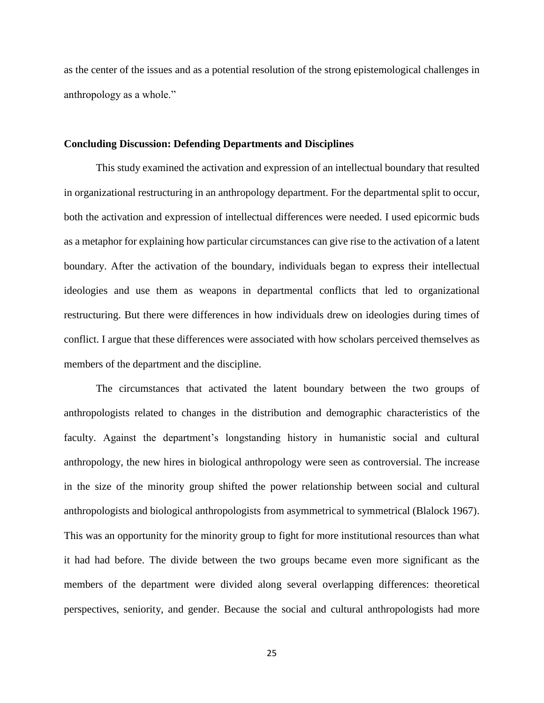as the center of the issues and as a potential resolution of the strong epistemological challenges in anthropology as a whole."

## **Concluding Discussion: Defending Departments and Disciplines**

This study examined the activation and expression of an intellectual boundary that resulted in organizational restructuring in an anthropology department. For the departmental split to occur, both the activation and expression of intellectual differences were needed. I used epicormic buds as a metaphor for explaining how particular circumstances can give rise to the activation of a latent boundary. After the activation of the boundary, individuals began to express their intellectual ideologies and use them as weapons in departmental conflicts that led to organizational restructuring. But there were differences in how individuals drew on ideologies during times of conflict. I argue that these differences were associated with how scholars perceived themselves as members of the department and the discipline.

The circumstances that activated the latent boundary between the two groups of anthropologists related to changes in the distribution and demographic characteristics of the faculty. Against the department's longstanding history in humanistic social and cultural anthropology, the new hires in biological anthropology were seen as controversial. The increase in the size of the minority group shifted the power relationship between social and cultural anthropologists and biological anthropologists from asymmetrical to symmetrical (Blalock 1967). This was an opportunity for the minority group to fight for more institutional resources than what it had had before. The divide between the two groups became even more significant as the members of the department were divided along several overlapping differences: theoretical perspectives, seniority, and gender. Because the social and cultural anthropologists had more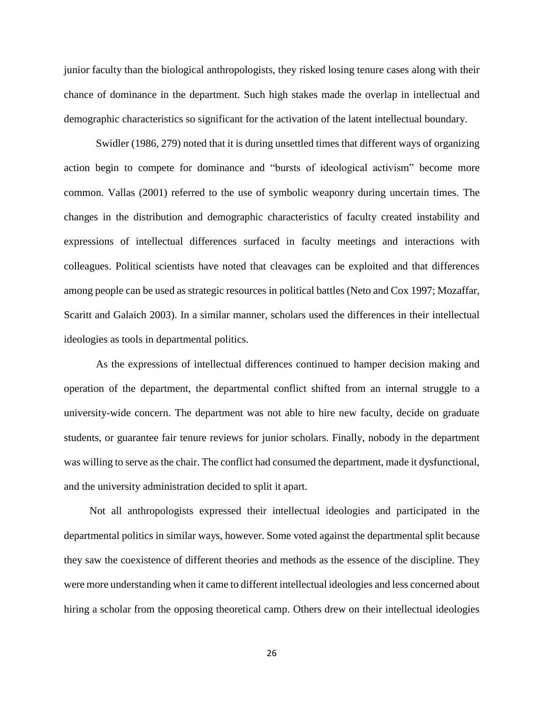junior faculty than the biological anthropologists, they risked losing tenure cases along with their chance of dominance in the department. Such high stakes made the overlap in intellectual and demographic characteristics so significant for the activation of the latent intellectual boundary.

Swidler (1986, 279) noted that it is during unsettled times that different ways of organizing action begin to compete for dominance and "bursts of ideological activism" become more common. Vallas (2001) referred to the use of symbolic weaponry during uncertain times. The changes in the distribution and demographic characteristics of faculty created instability and expressions of intellectual differences surfaced in faculty meetings and interactions with colleagues. Political scientists have noted that cleavages can be exploited and that differences among people can be used as strategic resources in political battles (Neto and Cox 1997; Mozaffar, Scaritt and Galaich 2003). In a similar manner, scholars used the differences in their intellectual ideologies as tools in departmental politics.

As the expressions of intellectual differences continued to hamper decision making and operation of the department, the departmental conflict shifted from an internal struggle to a university-wide concern. The department was not able to hire new faculty, decide on graduate students, or guarantee fair tenure reviews for junior scholars. Finally, nobody in the department was willing to serve as the chair. The conflict had consumed the department, made it dysfunctional, and the university administration decided to split it apart.

Not all anthropologists expressed their intellectual ideologies and participated in the departmental politics in similar ways, however. Some voted against the departmental split because they saw the coexistence of different theories and methods as the essence of the discipline. They were more understanding when it came to different intellectual ideologies and less concerned about hiring a scholar from the opposing theoretical camp. Others drew on their intellectual ideologies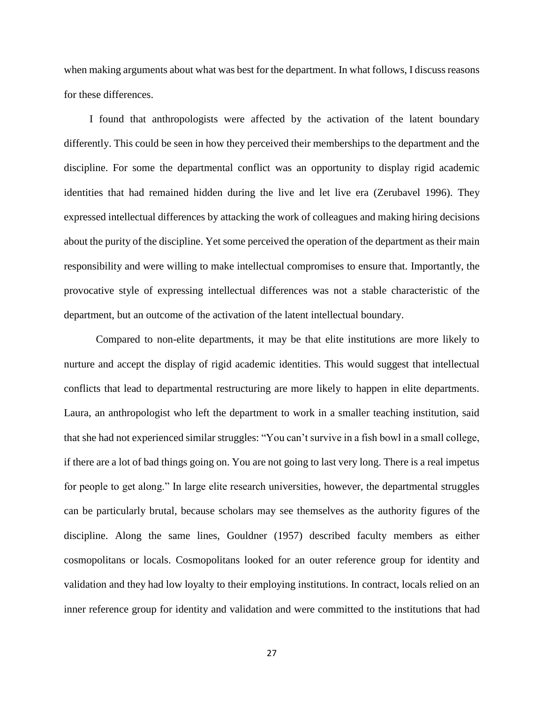when making arguments about what was best for the department. In what follows, I discuss reasons for these differences.

I found that anthropologists were affected by the activation of the latent boundary differently. This could be seen in how they perceived their memberships to the department and the discipline. For some the departmental conflict was an opportunity to display rigid academic identities that had remained hidden during the live and let live era (Zerubavel 1996). They expressed intellectual differences by attacking the work of colleagues and making hiring decisions about the purity of the discipline. Yet some perceived the operation of the department as their main responsibility and were willing to make intellectual compromises to ensure that. Importantly, the provocative style of expressing intellectual differences was not a stable characteristic of the department, but an outcome of the activation of the latent intellectual boundary.

Compared to non-elite departments, it may be that elite institutions are more likely to nurture and accept the display of rigid academic identities. This would suggest that intellectual conflicts that lead to departmental restructuring are more likely to happen in elite departments. Laura, an anthropologist who left the department to work in a smaller teaching institution, said that she had not experienced similar struggles: "You can't survive in a fish bowl in a small college, if there are a lot of bad things going on. You are not going to last very long. There is a real impetus for people to get along." In large elite research universities, however, the departmental struggles can be particularly brutal, because scholars may see themselves as the authority figures of the discipline. Along the same lines, Gouldner (1957) described faculty members as either cosmopolitans or locals. Cosmopolitans looked for an outer reference group for identity and validation and they had low loyalty to their employing institutions. In contract, locals relied on an inner reference group for identity and validation and were committed to the institutions that had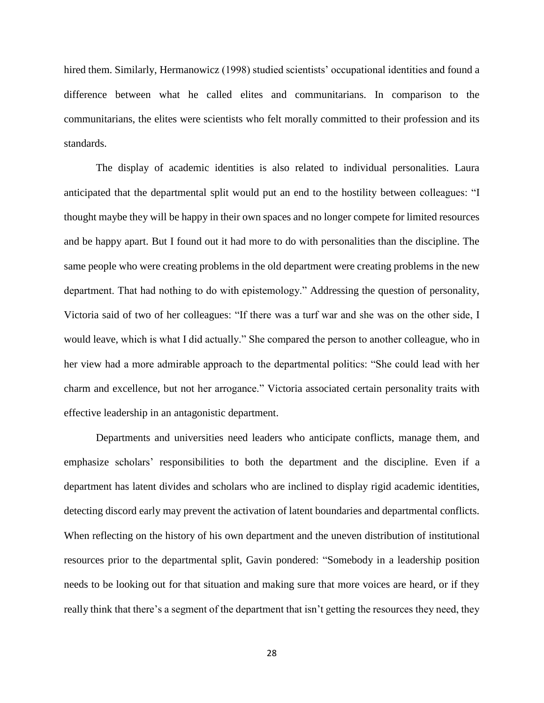hired them. Similarly, Hermanowicz (1998) studied scientists' occupational identities and found a difference between what he called elites and communitarians. In comparison to the communitarians, the elites were scientists who felt morally committed to their profession and its standards.

The display of academic identities is also related to individual personalities. Laura anticipated that the departmental split would put an end to the hostility between colleagues: "I thought maybe they will be happy in their own spaces and no longer compete for limited resources and be happy apart. But I found out it had more to do with personalities than the discipline. The same people who were creating problems in the old department were creating problems in the new department. That had nothing to do with epistemology." Addressing the question of personality, Victoria said of two of her colleagues: "If there was a turf war and she was on the other side, I would leave, which is what I did actually." She compared the person to another colleague, who in her view had a more admirable approach to the departmental politics: "She could lead with her charm and excellence, but not her arrogance." Victoria associated certain personality traits with effective leadership in an antagonistic department.

Departments and universities need leaders who anticipate conflicts, manage them, and emphasize scholars' responsibilities to both the department and the discipline. Even if a department has latent divides and scholars who are inclined to display rigid academic identities, detecting discord early may prevent the activation of latent boundaries and departmental conflicts. When reflecting on the history of his own department and the uneven distribution of institutional resources prior to the departmental split, Gavin pondered: "Somebody in a leadership position needs to be looking out for that situation and making sure that more voices are heard, or if they really think that there's a segment of the department that isn't getting the resources they need, they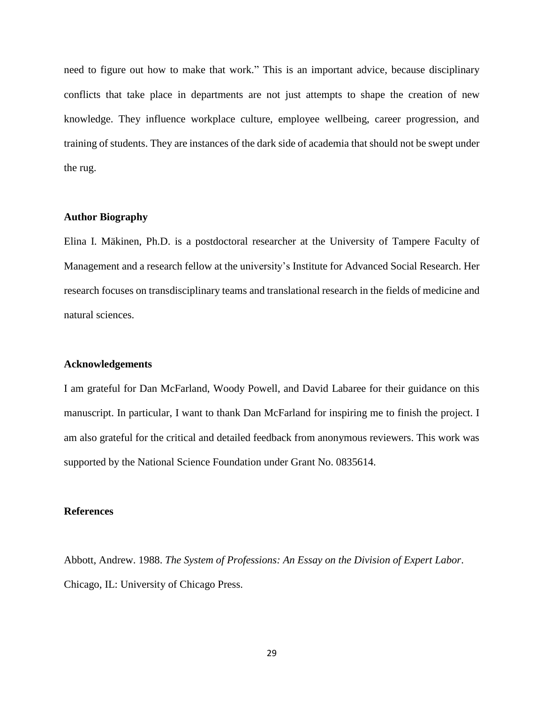need to figure out how to make that work." This is an important advice, because disciplinary conflicts that take place in departments are not just attempts to shape the creation of new knowledge. They influence workplace culture, employee wellbeing, career progression, and training of students. They are instances of the dark side of academia that should not be swept under the rug.

# **Author Biography**

Elina I. Mäkinen, Ph.D. is a postdoctoral researcher at the University of Tampere Faculty of Management and a research fellow at the university's Institute for Advanced Social Research. Her research focuses on transdisciplinary teams and translational research in the fields of medicine and natural sciences.

### **Acknowledgements**

I am grateful for Dan McFarland, Woody Powell, and David Labaree for their guidance on this manuscript. In particular, I want to thank Dan McFarland for inspiring me to finish the project. I am also grateful for the critical and detailed feedback from anonymous reviewers. This work was supported by the National Science Foundation under Grant No. 0835614.

#### **References**

Abbott, Andrew. 1988. *The System of Professions: An Essay on the Division of Expert Labor*. Chicago, IL: University of Chicago Press.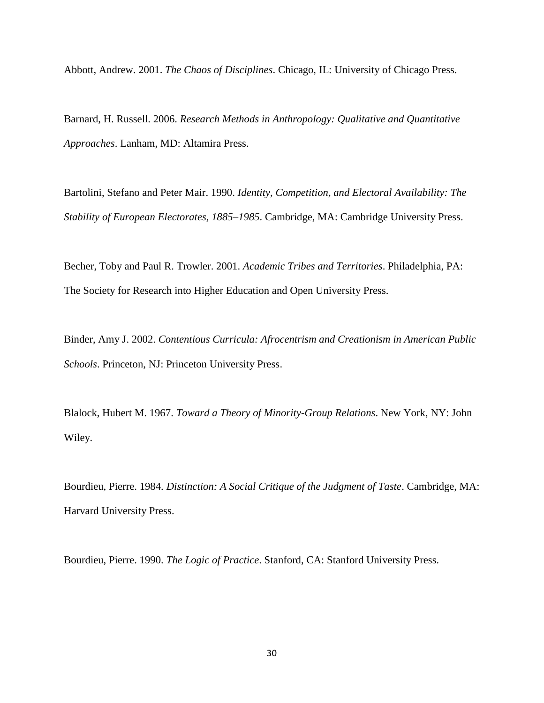Abbott, Andrew. 2001. *The Chaos of Disciplines*. Chicago, IL: University of Chicago Press.

Barnard, H. Russell. 2006. *Research Methods in Anthropology: Qualitative and Quantitative Approaches*. Lanham, MD: Altamira Press.

Bartolini, Stefano and Peter Mair. 1990. *Identity, Competition, and Electoral Availability: The Stability of European Electorates, 1885–1985*. Cambridge, MA: Cambridge University Press.

Becher, Toby and Paul R. Trowler. 2001. *Academic Tribes and Territories*. Philadelphia, PA: The Society for Research into Higher Education and Open University Press.

Binder, Amy J. 2002. *Contentious Curricula: Afrocentrism and Creationism in American Public Schools*. Princeton, NJ: Princeton University Press.

Blalock, Hubert M. 1967. *Toward a Theory of Minority-Group Relations*. New York, NY: John Wiley.

Bourdieu, Pierre. 1984. *Distinction: A Social Critique of the Judgment of Taste*. Cambridge, MA: Harvard University Press.

Bourdieu, Pierre. 1990. *The Logic of Practice*. Stanford, CA: Stanford University Press.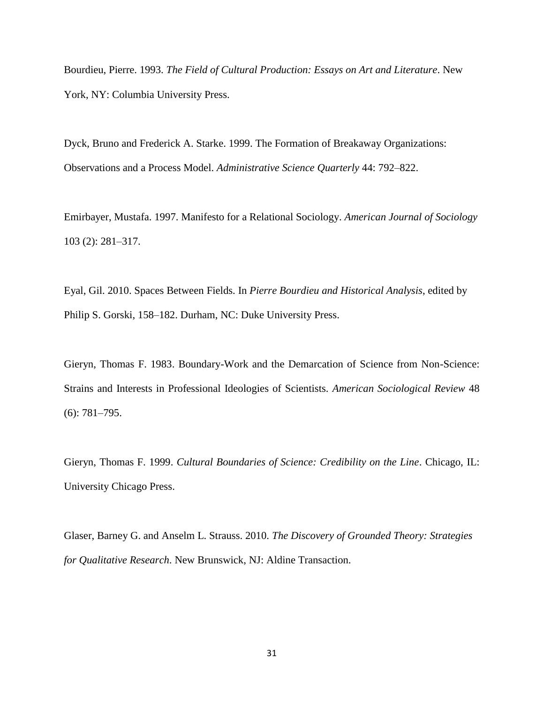Bourdieu, Pierre. 1993. *The Field of Cultural Production: Essays on Art and Literature*. New York, NY: Columbia University Press.

Dyck, Bruno and Frederick A. Starke. 1999. The Formation of Breakaway Organizations: Observations and a Process Model. *Administrative Science Quarterly* 44: 792–822.

Emirbayer, Mustafa. 1997. Manifesto for a Relational Sociology. *American Journal of Sociology* 103 (2): 281–317.

Eyal, Gil. 2010. Spaces Between Fields. In *Pierre Bourdieu and Historical Analysis*, edited by Philip S. Gorski, 158–182. Durham, NC: Duke University Press.

Gieryn, Thomas F. 1983. Boundary-Work and the Demarcation of Science from Non-Science: Strains and Interests in Professional Ideologies of Scientists. *American Sociological Review* 48 (6): 781–795.

Gieryn, Thomas F. 1999. *Cultural Boundaries of Science: Credibility on the Line*. Chicago, IL: University Chicago Press.

Glaser, Barney G. and Anselm L. Strauss. 2010. *The Discovery of Grounded Theory: Strategies for Qualitative Research*. New Brunswick, NJ: Aldine Transaction.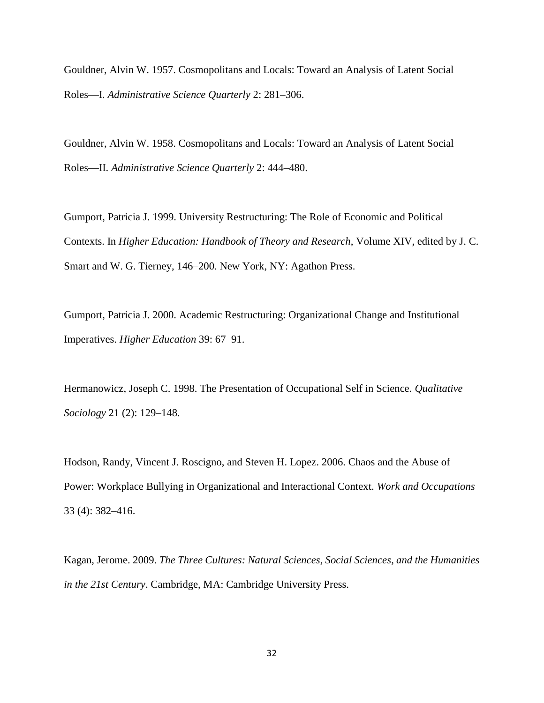Gouldner, Alvin W. 1957. Cosmopolitans and Locals: Toward an Analysis of Latent Social Roles—I. *Administrative Science Quarterly* 2: 281–306.

Gouldner, Alvin W. 1958. Cosmopolitans and Locals: Toward an Analysis of Latent Social Roles—II. *Administrative Science Quarterly* 2: 444–480.

Gumport, Patricia J. 1999. University Restructuring: The Role of Economic and Political Contexts. In *Higher Education: Handbook of Theory and Research*, Volume XIV, edited by J. C. Smart and W. G. Tierney, 146–200. New York, NY: Agathon Press.

Gumport, Patricia J. 2000. Academic Restructuring: Organizational Change and Institutional Imperatives. *Higher Education* 39: 67–91.

Hermanowicz, Joseph C. 1998. The Presentation of Occupational Self in Science. *Qualitative Sociology* 21 (2): 129–148.

Hodson, Randy, Vincent J. Roscigno, and Steven H. Lopez. 2006. Chaos and the Abuse of Power: Workplace Bullying in Organizational and Interactional Context. *Work and Occupations* 33 (4): 382–416.

Kagan, Jerome. 2009. *The Three Cultures: Natural Sciences, Social Sciences, and the Humanities in the 21st Century*. Cambridge, MA: Cambridge University Press.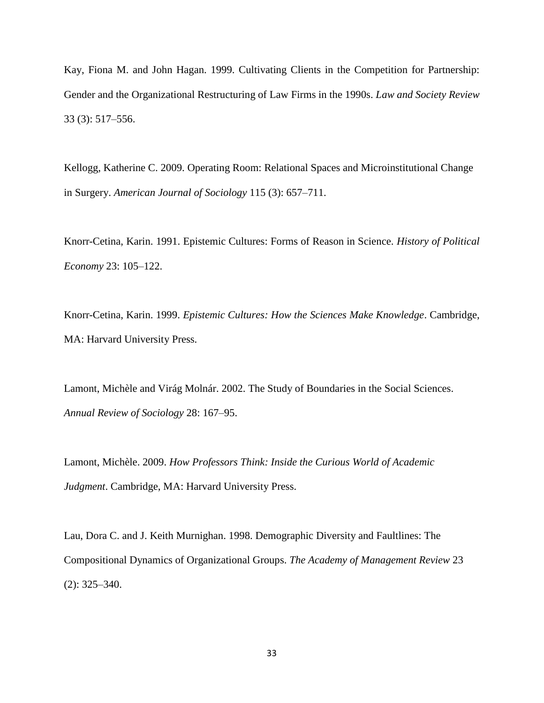Kay, Fiona M. and John Hagan. 1999. Cultivating Clients in the Competition for Partnership: Gender and the Organizational Restructuring of Law Firms in the 1990s. *Law and Society Review* 33 (3): 517–556.

Kellogg, Katherine C. 2009. Operating Room: Relational Spaces and Microinstitutional Change in Surgery. *American Journal of Sociology* 115 (3): 657–711.

Knorr-Cetina, Karin. 1991. Epistemic Cultures: Forms of Reason in Science. *History of Political Economy* 23: 105–122.

Knorr-Cetina, Karin. 1999. *Epistemic Cultures: How the Sciences Make Knowledge*. Cambridge, MA: Harvard University Press.

Lamont, Michèle and Virág Molnár. 2002. The Study of Boundaries in the Social Sciences. *Annual Review of Sociology* 28: 167–95.

Lamont, Michèle. 2009. *How Professors Think: Inside the Curious World of Academic Judgment*. Cambridge, MA: Harvard University Press.

Lau, Dora C. and J. Keith Murnighan. 1998. Demographic Diversity and Faultlines: The Compositional Dynamics of Organizational Groups. *The Academy of Management Review* 23 (2): 325–340.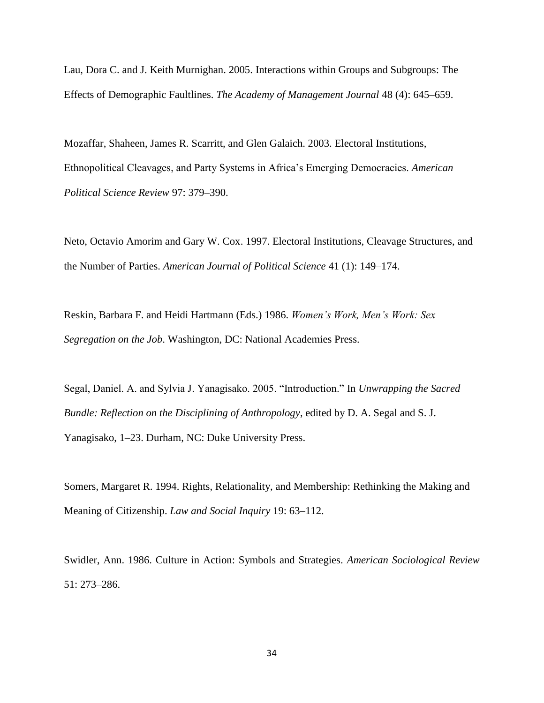Lau, Dora C. and J. Keith Murnighan. 2005. Interactions within Groups and Subgroups: The Effects of Demographic Faultlines. *The Academy of Management Journal* 48 (4): 645–659.

Mozaffar, Shaheen, James R. Scarritt, and Glen Galaich. 2003. Electoral Institutions, Ethnopolitical Cleavages, and Party Systems in Africa's Emerging Democracies. *American Political Science Review* 97: 379–390.

Neto, Octavio Amorim and Gary W. Cox. 1997. Electoral Institutions, Cleavage Structures, and the Number of Parties. *American Journal of Political Science* 41 (1): 149–174.

Reskin, Barbara F. and Heidi Hartmann (Eds.) 1986. *Women's Work, Men's Work: Sex Segregation on the Job*. Washington, DC: National Academies Press.

Segal, Daniel. A. and Sylvia J. Yanagisako. 2005. "Introduction." In *Unwrapping the Sacred Bundle: Reflection on the Disciplining of Anthropology*, edited by D. A. Segal and S. J. Yanagisako, 1–23. Durham, NC: Duke University Press.

Somers, Margaret R. 1994. Rights, Relationality, and Membership: Rethinking the Making and Meaning of Citizenship. *Law and Social Inquiry* 19: 63–112.

Swidler, Ann. 1986. Culture in Action: Symbols and Strategies. *American Sociological Review* 51: 273–286.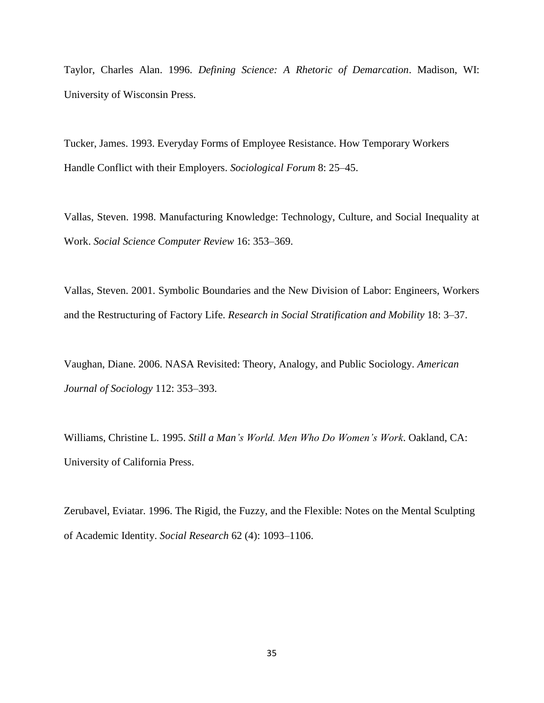Taylor, Charles Alan. 1996. *Defining Science: A Rhetoric of Demarcation*. Madison, WI: University of Wisconsin Press.

Tucker, James. 1993. Everyday Forms of Employee Resistance. How Temporary Workers Handle Conflict with their Employers. *Sociological Forum* 8: 25–45.

Vallas, Steven. 1998. Manufacturing Knowledge: Technology, Culture, and Social Inequality at Work. *Social Science Computer Review* 16: 353–369.

Vallas, Steven. 2001. Symbolic Boundaries and the New Division of Labor: Engineers, Workers and the Restructuring of Factory Life. *Research in Social Stratification and Mobility* 18: 3–37.

Vaughan, Diane. 2006. NASA Revisited: Theory, Analogy, and Public Sociology. *American Journal of Sociology* 112: 353–393.

Williams, Christine L. 1995. *Still a Man's World. Men Who Do Women's Work*. Oakland, CA: University of California Press.

Zerubavel, Eviatar. 1996. The Rigid, the Fuzzy, and the Flexible: Notes on the Mental Sculpting of Academic Identity. *Social Research* 62 (4): 1093–1106.